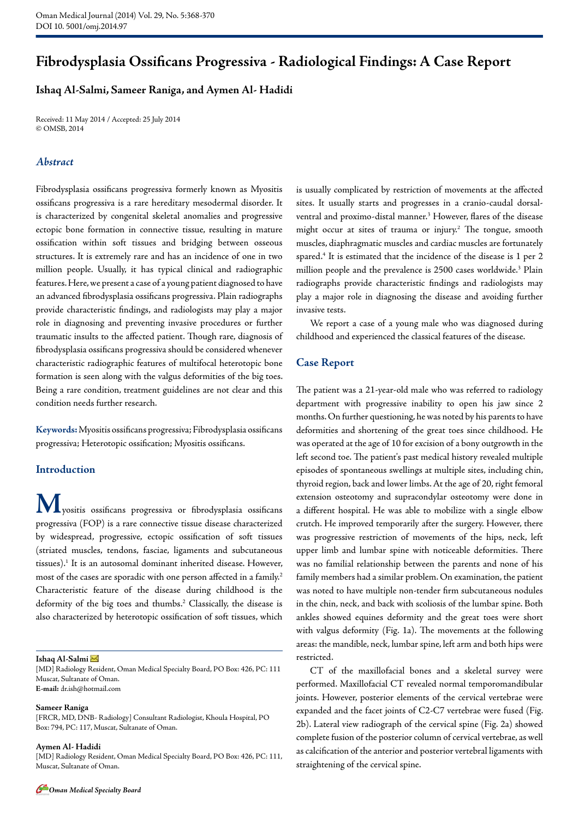# **Fibrodysplasia Ossificans Progressiva - Radiological Findings: A Case Report**

# **Ishaq Al-Salmi, Sameer Raniga, and Aymen Al- Hadidi**

Received: 11 May 2014 / Accepted: 25 July 2014 © OMSB, 2014

### *Abstract*

Fibrodysplasia ossificans progressiva formerly known as Myositis ossificans progressiva is a rare hereditary mesodermal disorder. It is characterized by congenital skeletal anomalies and progressive ectopic bone formation in connective tissue, resulting in mature ossification within soft tissues and bridging between osseous structures. It is extremely rare and has an incidence of one in two million people. Usually, it has typical clinical and radiographic features. Here, we present a case of a young patient diagnosed to have an advanced fibrodysplasia ossificans progressiva. Plain radiographs provide characteristic findings, and radiologists may play a major role in diagnosing and preventing invasive procedures or further traumatic insults to the affected patient. Though rare, diagnosis of fibrodysplasia ossificans progressiva should be considered whenever characteristic radiographic features of multifocal heterotopic bone formation is seen along with the valgus deformities of the big toes. Being a rare condition, treatment guidelines are not clear and this condition needs further research.

**Keywords:**Myositis ossificans progressiva; Fibrodysplasia ossificans progressiva; Heterotopic ossification; Myositis ossificans.

## **Introduction**

**M**yositis ossificans progressiva or fibrodysplasia ossificans progressiva (FOP) is a rare connective tissue disease characterized by widespread, progressive, ectopic ossification of soft tissues (striated muscles, tendons, fasciae, ligaments and subcutaneous tissues).1 It is an autosomal dominant inherited disease. However, most of the cases are sporadic with one person affected in a family.<sup>2</sup> Characteristic feature of the disease during childhood is the deformity of the big toes and thumbs.2 Classically, the disease is also characterized by heterotopic ossification of soft tissues, which

#### **Ishaq Al-Salmi**

[MD] Radiology Resident, Oman Medical Specialty Board, PO Box: 426, PC: 111 Muscat, Sultanate of Oman. **E-mail:** dr.ish@hotmail.com

#### **Sameer Raniga**

[FRCR, MD, DNB- Radiology] Consultant Radiologist, Khoula Hospital, PO Box: 794, PC: 117, Muscat, Sultanate of Oman.

#### **Aymen Al- Hadidi**

[MD] Radiology Resident, Oman Medical Specialty Board, PO Box: 426, PC: 111, Muscat, Sultanate of Oman.

is usually complicated by restriction of movements at the affected sites. It usually starts and progresses in a cranio-caudal dorsalventral and proximo-distal manner.3 However, flares of the disease might occur at sites of trauma or injury.<sup>2</sup> The tongue, smooth muscles, diaphragmatic muscles and cardiac muscles are fortunately spared.4 It is estimated that the incidence of the disease is 1 per 2 million people and the prevalence is 2500 cases worldwide.<sup>3</sup> Plain radiographs provide characteristic findings and radiologists may play a major role in diagnosing the disease and avoiding further invasive tests.

We report a case of a young male who was diagnosed during childhood and experienced the classical features of the disease.

### **Case Report**

The patient was a 21-year-old male who was referred to radiology department with progressive inability to open his jaw since 2 months. On further questioning, he was noted by his parents to have deformities and shortening of the great toes since childhood. He was operated at the age of 10 for excision of a bony outgrowth in the left second toe. The patient's past medical history revealed multiple episodes of spontaneous swellings at multiple sites, including chin, thyroid region, back and lower limbs. At the age of 20, right femoral extension osteotomy and supracondylar osteotomy were done in a different hospital. He was able to mobilize with a single elbow crutch. He improved temporarily after the surgery. However, there was progressive restriction of movements of the hips, neck, left upper limb and lumbar spine with noticeable deformities. There was no familial relationship between the parents and none of his family members had a similar problem. On examination, the patient was noted to have multiple non-tender firm subcutaneous nodules in the chin, neck, and back with scoliosis of the lumbar spine. Both ankles showed equines deformity and the great toes were short with valgus deformity (Fig. 1a). The movements at the following areas: the mandible, neck, lumbar spine, left arm and both hips were restricted.

CT of the maxillofacial bones and a skeletal survey were performed. Maxillofacial CT revealed normal temporomandibular joints. However, posterior elements of the cervical vertebrae were expanded and the facet joints of C2-C7 vertebrae were fused (Fig. 2b). Lateral view radiograph of the cervical spine (Fig. 2a) showed complete fusion of the posterior column of cervical vertebrae, as well as calcification of the anterior and posterior vertebral ligaments with straightening of the cervical spine.

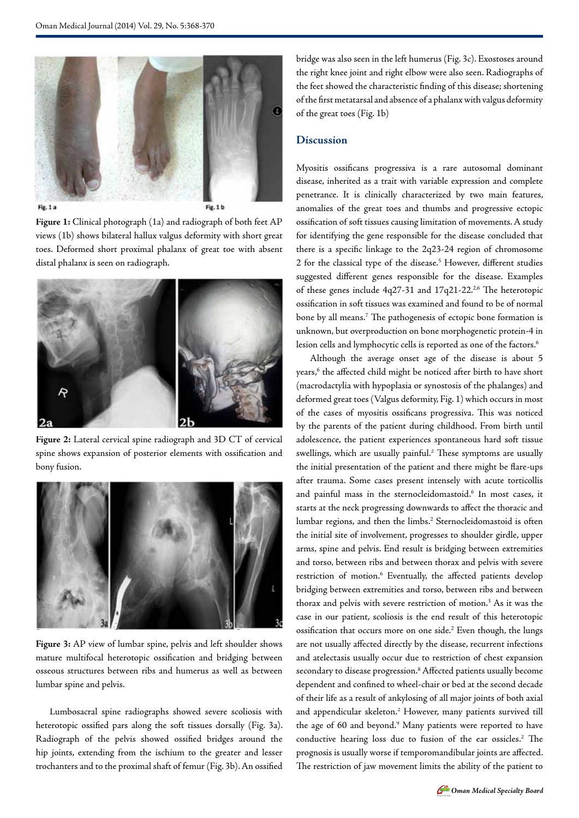

**Figure 1:** Clinical photograph (1a) and radiograph of both feet AP views (1b) shows bilateral hallux valgus deformity with short great toes. Deformed short proximal phalanx of great toe with absent distal phalanx is seen on radiograph.



**Figure 2:** Lateral cervical spine radiograph and 3D CT of cervical spine shows expansion of posterior elements with ossification and bony fusion.



**Figure 3:** AP view of lumbar spine, pelvis and left shoulder shows mature multifocal heterotopic ossification and bridging between osseous structures between ribs and humerus as well as between lumbar spine and pelvis.

Lumbosacral spine radiographs showed severe scoliosis with heterotopic ossified pars along the soft tissues dorsally (Fig. 3a). Radiograph of the pelvis showed ossified bridges around the hip joints, extending from the ischium to the greater and lesser trochanters and to the proximal shaft of femur (Fig. 3b). An ossified bridge was also seen in the left humerus (Fig. 3c). Exostoses around the right knee joint and right elbow were also seen. Radiographs of the feet showed the characteristic finding of this disease; shortening of the first metatarsal and absence of a phalanx with valgus deformity of the great toes (Fig. 1b)

### **Discussion**

Myositis ossificans progressiva is a rare autosomal dominant disease, inherited as a trait with variable expression and complete penetrance. It is clinically characterized by two main features, anomalies of the great toes and thumbs and progressive ectopic ossification of soft tissues causing limitation of movements. A study for identifying the gene responsible for the disease concluded that there is a specific linkage to the 2q23-24 region of chromosome 2 for the classical type of the disease.<sup>5</sup> However, different studies suggested different genes responsible for the disease. Examples of these genes include 4q27-31 and 17q21-22.<sup>2,6</sup> The heterotopic ossification in soft tissues was examined and found to be of normal bone by all means.7 The pathogenesis of ectopic bone formation is unknown, but overproduction on bone morphogenetic protein-4 in lesion cells and lymphocytic cells is reported as one of the factors.<sup>6</sup>

Although the average onset age of the disease is about 5 years,<sup>6</sup> the affected child might be noticed after birth to have short (macrodactylia with hypoplasia or synostosis of the phalanges) and deformed great toes (Valgus deformity, Fig. 1) which occurs in most of the cases of myositis ossificans progressiva. This was noticed by the parents of the patient during childhood. From birth until adolescence, the patient experiences spontaneous hard soft tissue swellings, which are usually painful.<sup>2</sup> These symptoms are usually the initial presentation of the patient and there might be flare-ups after trauma. Some cases present intensely with acute torticollis and painful mass in the sternocleidomastoid.<sup>6</sup> In most cases, it starts at the neck progressing downwards to affect the thoracic and lumbar regions, and then the limbs.<sup>2</sup> Sternocleidomastoid is often the initial site of involvement, progresses to shoulder girdle, upper arms, spine and pelvis. End result is bridging between extremities and torso, between ribs and between thorax and pelvis with severe restriction of motion.<sup>6</sup> Eventually, the affected patients develop bridging between extremities and torso, between ribs and between thorax and pelvis with severe restriction of motion.<sup>3</sup> As it was the case in our patient, scoliosis is the end result of this heterotopic ossification that occurs more on one side.<sup>2</sup> Even though, the lungs are not usually affected directly by the disease, recurrent infections and atelectasis usually occur due to restriction of chest expansion secondary to disease progression.<sup>8</sup> Affected patients usually become dependent and confined to wheel-chair or bed at the second decade of their life as a result of ankylosing of all major joints of both axial and appendicular skeleton.2 However, many patients survived till the age of 60 and beyond.<sup>9</sup> Many patients were reported to have conductive hearing loss due to fusion of the ear ossicles.<sup>2</sup> The prognosis is usually worse if temporomandibular joints are affected. The restriction of jaw movement limits the ability of the patient to